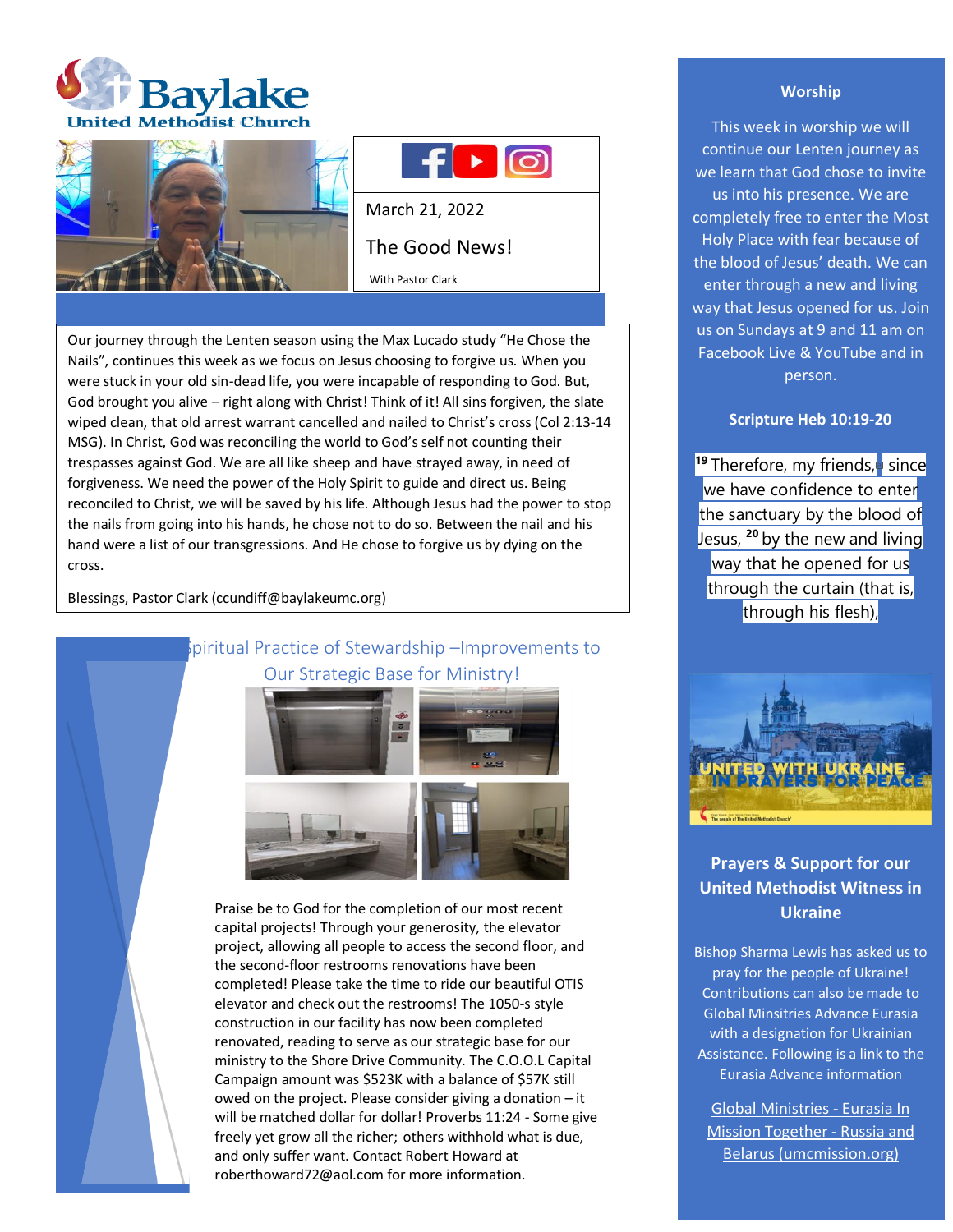





March 21, 2022 The Good News!

With Pastor Clark

Our journey through the Lenten season using the Max Lucado study "He Chose the Nails", continues this week as we focus on Jesus choosing to forgive us. When you were stuck in your old sin-dead life, you were incapable of responding to God. But, God brought you alive – right along with Christ! Think of it! All sins forgiven, the slate wiped clean, that old arrest warrant cancelled and nailed to Christ's cross (Col 2:13-14 MSG). In Christ, God was reconciling the world to God's self not counting their trespasses against God. We are all like sheep and have strayed away, in need of forgiveness. We need the power of the Holy Spirit to guide and direct us. Being reconciled to Christ, we will be saved by his life. Although Jesus had the power to stop the nails from going into his hands, he chose not to do so. Between the nail and his hand were a list of our transgressions. And He chose to forgive us by dying on the cross.

Blessings, Pastor Clark (ccundiff@baylakeumc.org)

piritual Practice of Stewardship –Improvements to Our Strategic Base for Ministry!



Praise be to God for the completion of our most recent capital projects! Through your generosity, the elevator project, allowing all people to access the second floor, and the second-floor restrooms renovations have been completed! Please take the time to ride our beautiful OTIS elevator and check out the restrooms! The 1050-s style construction in our facility has now been completed renovated, reading to serve as our strategic base for our ministry to the Shore Drive Community. The C.O.O.L Capital Campaign amount was \$523K with a balance of \$57K still owed on the project. Please consider giving a donation – it will be matched dollar for dollar! Proverbs 11:24 - Some give freely yet grow all the richer; others withhold what is due, and only suffer want. Contact Robert Howard at roberthoward72@aol.com for more information.

## **Worship**

This week in worship we will continue our Lenten journey as we learn that God chose to invite us into his presence. We are completely free to enter the Most Holy Place with fear because of the blood of Jesus' death. We can enter through a new and living way that Jesus opened for us. Join us on Sundays at 9 and 11 am on Facebook Live & YouTube and in person.

## **Scripture Heb 10:19-20**

**<sup>19</sup> Therefore, my friends, i** since we have confidence to enter the sanctuary by the blood of Jesus, **<sup>20</sup>** by the new and living way that he opened for us through the curtain (that is, through his flesh),



# **Prayers & Support for our United Methodist Witness in Ukraine**

Bishop Sharma Lewis has asked us to pray for the people of Ukraine! Contributions can also be made to Global Minsitries Advance Eurasia with a designation for Ukrainian Assistance. Following is a link to the Eurasia Advance information

[Global Ministries -](https://advance.umcmission.org/p-191-eurasia-in-mission-together-russia-and-belarus.aspx) Eurasia In [Mission Together -](https://advance.umcmission.org/p-191-eurasia-in-mission-together-russia-and-belarus.aspx) Russia and [Belarus \(umcmission.org\)](https://advance.umcmission.org/p-191-eurasia-in-mission-together-russia-and-belarus.aspx)